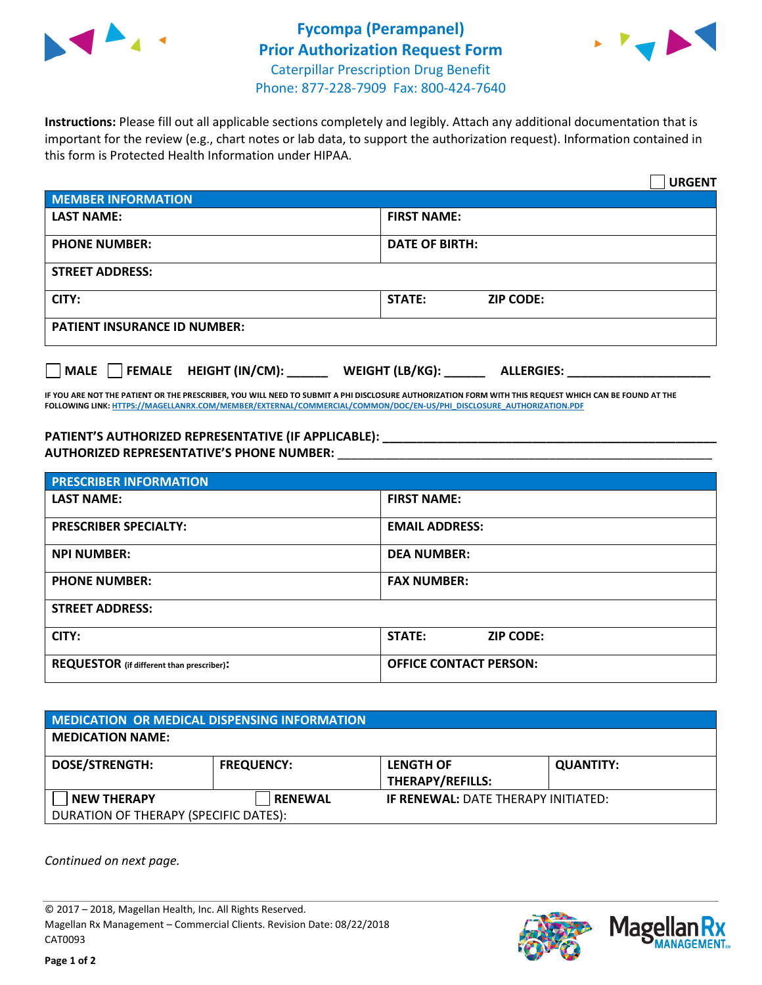



**Instructions:** Please fill out all applicable sections completely and legibly. Attach any additional documentation that is important for the review (e.g., chart notes or lab data, to support the authorization request). Information contained in this form is Protected Health Information under HIPAA.

|                                       | <b>URGENT</b>                        |  |  |  |
|---------------------------------------|--------------------------------------|--|--|--|
| <b>MEMBER INFORMATION</b>             |                                      |  |  |  |
| <b>LAST NAME:</b>                     | <b>FIRST NAME:</b>                   |  |  |  |
| <b>PHONE NUMBER:</b>                  | <b>DATE OF BIRTH:</b>                |  |  |  |
| <b>STREET ADDRESS:</b>                |                                      |  |  |  |
| CITY:                                 | STATE:<br><b>ZIP CODE:</b>           |  |  |  |
| <b>PATIENT INSURANCE ID NUMBER:</b>   |                                      |  |  |  |
| FEMALE HEIGHT (IN/CM):<br><b>MALE</b> | WEIGHT (LB/KG):<br><b>ALLERGIES:</b> |  |  |  |

**IF YOU ARE NOT THE PATIENT OR THE PRESCRIBER, YOU WILL NEED TO SUBMIT A PHI DISCLOSURE AUTHORIZATION FORM WITH THIS REQUEST WHICH CAN BE FOUND AT THE FOLLOWING LINK[: HTTPS://MAGELLANRX.COM/MEMBER/EXTERNAL/COMMERCIAL/COMMON/DOC/EN-US/PHI\\_DISCLOSURE\\_AUTHORIZATION.PDF](https://magellanrx.com/member/external/commercial/common/doc/en-us/PHI_Disclosure_Authorization.pdf)**

**PATIENT'S AUTHORIZED REPRESENTATIVE (IF APPLICABLE): \_\_\_\_\_\_\_\_\_\_\_\_\_\_\_\_\_\_\_\_\_\_\_\_\_\_\_\_\_\_\_\_\_\_\_\_\_\_\_\_\_\_\_\_\_\_\_\_\_ AUTHORIZED REPRESENTATIVE'S PHONE NUMBER:** \_\_\_\_\_\_\_\_\_\_\_\_\_\_\_\_\_\_\_\_\_\_\_\_\_\_\_\_\_\_\_\_\_\_\_\_\_\_\_\_\_\_\_\_\_\_\_\_\_\_\_\_\_\_\_

| <b>PRESCRIBER INFORMATION</b>             |                               |  |  |  |
|-------------------------------------------|-------------------------------|--|--|--|
| <b>LAST NAME:</b>                         | <b>FIRST NAME:</b>            |  |  |  |
| <b>PRESCRIBER SPECIALTY:</b>              | <b>EMAIL ADDRESS:</b>         |  |  |  |
| <b>NPI NUMBER:</b>                        | <b>DEA NUMBER:</b>            |  |  |  |
| <b>PHONE NUMBER:</b>                      | <b>FAX NUMBER:</b>            |  |  |  |
| <b>STREET ADDRESS:</b>                    |                               |  |  |  |
| CITY:                                     | STATE:<br><b>ZIP CODE:</b>    |  |  |  |
| REQUESTOR (if different than prescriber): | <b>OFFICE CONTACT PERSON:</b> |  |  |  |

| <b>MEDICATION OR MEDICAL DISPENSING INFORMATION</b> |                   |                                            |                  |  |  |
|-----------------------------------------------------|-------------------|--------------------------------------------|------------------|--|--|
| <b>MEDICATION NAME:</b>                             |                   |                                            |                  |  |  |
| <b>DOSE/STRENGTH:</b>                               | <b>FREQUENCY:</b> | <b>LENGTH OF</b>                           | <b>QUANTITY:</b> |  |  |
|                                                     |                   | <b>THERAPY/REFILLS:</b>                    |                  |  |  |
| <b>NEW THERAPY</b>                                  | <b>RENEWAL</b>    | <b>IF RENEWAL: DATE THERAPY INITIATED:</b> |                  |  |  |
| DURATION OF THERAPY (SPECIFIC DATES):               |                   |                                            |                  |  |  |

*Continued on next page.*

© 2017 – 2018, Magellan Health, Inc. All Rights Reserved. Magellan Rx Management – Commercial Clients. Revision Date: 08/22/2018 CAT0093